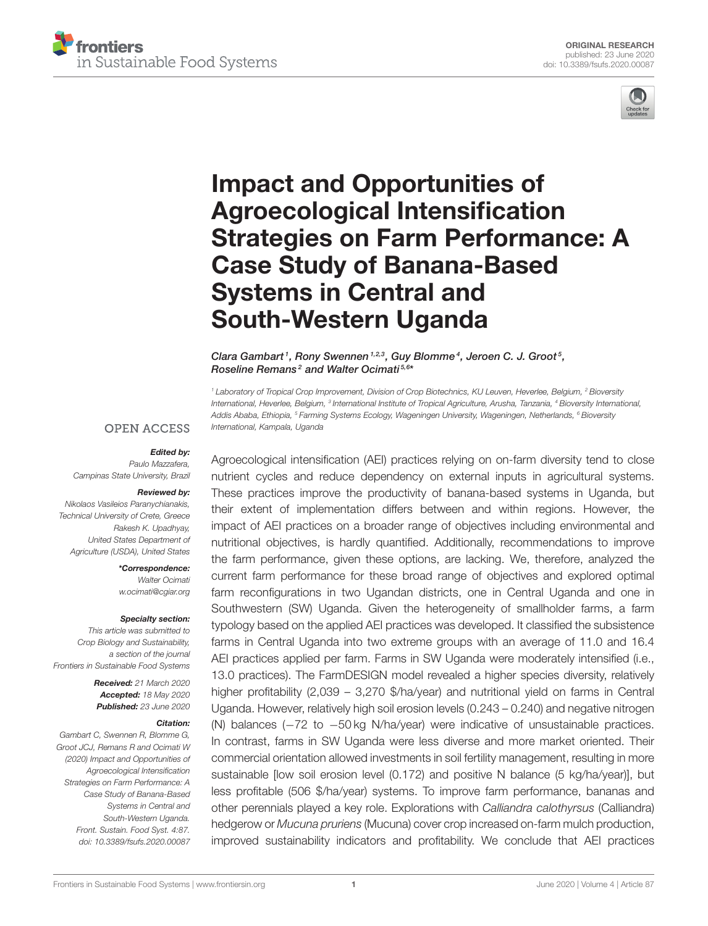



# Impact and Opportunities of Agroecological Intensification [Strategies on Farm Performance: A](https://www.frontiersin.org/articles/10.3389/fsufs.2020.00087/full) Case Study of Banana-Based Systems in Central and South-Western Uganda

[Clara Gambart](http://loop.frontiersin.org/people/933787/overview)<sup>1</sup>, [Rony Swennen](http://loop.frontiersin.org/people/836829/overview)<sup>1,2,3</sup>, [Guy Blomme](http://loop.frontiersin.org/people/360145/overview)<sup>4</sup>, [Jeroen C. J. Groot](http://loop.frontiersin.org/people/545929/overview)<sup>5</sup>, [Roseline Remans](http://loop.frontiersin.org/people/128034/overview)<sup>2</sup> and [Walter Ocimati](http://loop.frontiersin.org/people/427974/overview)<sup>5,6\*</sup>

*<sup>1</sup> Laboratory of Tropical Crop Improvement, Division of Crop Biotechnics, KU Leuven, Heverlee, Belgium, <sup>2</sup> Bioversity International, Heverlee, Belgium, <sup>3</sup> International Institute of Tropical Agriculture, Arusha, Tanzania, <sup>4</sup> Bioversity International, Addis Ababa, Ethiopia, <sup>5</sup> Farming Systems Ecology, Wageningen University, Wageningen, Netherlands, <sup>6</sup> Bioversity International, Kampala, Uganda*

#### **OPEN ACCESS**

#### Edited by:

*Paulo Mazzafera, Campinas State University, Brazil*

# Reviewed by:

*Nikolaos Vasileios Paranychianakis, Technical University of Crete, Greece Rakesh K. Upadhyay, United States Department of Agriculture (USDA), United States*

> \*Correspondence: *Walter Ocimati [w.ocimati@cgiar.org](mailto:w.ocimati@cgiar.org)*

#### Specialty section:

*This article was submitted to Crop Biology and Sustainability, a section of the journal Frontiers in Sustainable Food Systems*

> Received: *21 March 2020* Accepted: *18 May 2020* Published: *23 June 2020*

#### Citation:

*Gambart C, Swennen R, Blomme G, Groot JCJ, Remans R and Ocimati W (2020) Impact and Opportunities of Agroecological Intensification Strategies on Farm Performance: A Case Study of Banana-Based Systems in Central and South-Western Uganda. Front. Sustain. Food Syst. 4:87. doi: [10.3389/fsufs.2020.00087](https://doi.org/10.3389/fsufs.2020.00087)*

Agroecological intensification (AEI) practices relying on on-farm diversity tend to close nutrient cycles and reduce dependency on external inputs in agricultural systems. These practices improve the productivity of banana-based systems in Uganda, but their extent of implementation differs between and within regions. However, the impact of AEI practices on a broader range of objectives including environmental and nutritional objectives, is hardly quantified. Additionally, recommendations to improve the farm performance, given these options, are lacking. We, therefore, analyzed the current farm performance for these broad range of objectives and explored optimal farm reconfigurations in two Ugandan districts, one in Central Uganda and one in Southwestern (SW) Uganda. Given the heterogeneity of smallholder farms, a farm typology based on the applied AEI practices was developed. It classified the subsistence farms in Central Uganda into two extreme groups with an average of 11.0 and 16.4 AEI practices applied per farm. Farms in SW Uganda were moderately intensified (i.e., 13.0 practices). The FarmDESIGN model revealed a higher species diversity, relatively higher profitability (2,039 – 3,270 \$/ha/year) and nutritional yield on farms in Central Uganda. However, relatively high soil erosion levels (0.243 – 0.240) and negative nitrogen (N) balances (−72 to −50 kg N/ha/year) were indicative of unsustainable practices. In contrast, farms in SW Uganda were less diverse and more market oriented. Their commercial orientation allowed investments in soil fertility management, resulting in more sustainable [low soil erosion level (0.172) and positive N balance (5 kg/ha/year)], but less profitable (506 \$/ha/year) systems. To improve farm performance, bananas and other perennials played a key role. Explorations with *Calliandra calothyrsus* (Calliandra) hedgerow or *Mucuna pruriens* (Mucuna) cover crop increased on-farm mulch production, improved sustainability indicators and profitability. We conclude that AEI practices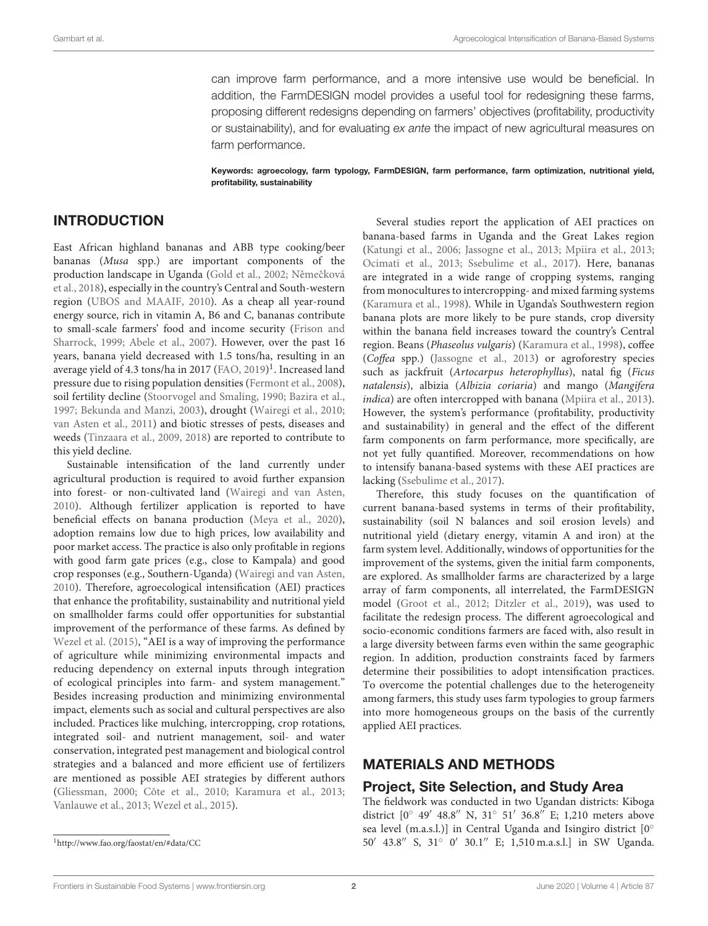can improve farm performance, and a more intensive use would be beneficial. In addition, the FarmDESIGN model provides a useful tool for redesigning these farms, proposing different redesigns depending on farmers' objectives (profitability, productivity or sustainability), and for evaluating *ex ante* the impact of new agricultural measures on farm performance.

Keywords: agroecology, farm typology, FarmDESIGN, farm performance, farm optimization, nutritional yield, profitability, sustainability

#### INTRODUCTION

East African highland bananas and ABB type cooking/beer bananas (Musa spp.) are important components of the production landscape in Uganda [\(Gold et al., 2002;](#page-11-0) Němečková et al., [2018\)](#page-11-1), especially in the country's Central and South-western region [\(UBOS and MAAIF, 2010\)](#page-12-0). As a cheap all year-round energy source, rich in vitamin A, B6 and C, bananas contribute to small-scale farmers' food and income security (Frison and Sharrock, [1999;](#page-11-2) [Abele et al., 2007\)](#page-10-0). However, over the past 16 years, banana yield decreased with 1.5 tons/ha, resulting in an average yield of 4.3 tons/ha in 2017 [\(FAO, 2019\)](#page-11-3)<sup>[1](#page-1-0)</sup>. Increased land pressure due to rising population densities [\(Fermont et al., 2008\)](#page-11-4), soil fertility decline [\(Stoorvogel and Smaling, 1990;](#page-11-5) [Bazira et al.,](#page-10-1) [1997;](#page-10-1) [Bekunda and Manzi, 2003\)](#page-10-2), drought [\(Wairegi et al., 2010;](#page-12-1) [van Asten et al., 2011\)](#page-12-2) and biotic stresses of pests, diseases and weeds [\(Tinzaara et al., 2009,](#page-11-6) [2018\)](#page-11-7) are reported to contribute to this yield decline.

Sustainable intensification of the land currently under agricultural production is required to avoid further expansion into forest- or non-cultivated land [\(Wairegi and van Asten,](#page-12-3) [2010\)](#page-12-3). Although fertilizer application is reported to have beneficial effects on banana production [\(Meya et al., 2020\)](#page-11-8), adoption remains low due to high prices, low availability and poor market access. The practice is also only profitable in regions with good farm gate prices (e.g., close to Kampala) and good crop responses (e.g., Southern-Uganda) [\(Wairegi and van Asten,](#page-12-3) [2010\)](#page-12-3). Therefore, agroecological intensification (AEI) practices that enhance the profitability, sustainability and nutritional yield on smallholder farms could offer opportunities for substantial improvement of the performance of these farms. As defined by [Wezel et al. \(2015\)](#page-12-4), "AEI is a way of improving the performance of agriculture while minimizing environmental impacts and reducing dependency on external inputs through integration of ecological principles into farm- and system management." Besides increasing production and minimizing environmental impact, elements such as social and cultural perspectives are also included. Practices like mulching, intercropping, crop rotations, integrated soil- and nutrient management, soil- and water conservation, integrated pest management and biological control strategies and a balanced and more efficient use of fertilizers are mentioned as possible AEI strategies by different authors [\(Gliessman, 2000;](#page-11-9) [Côte et al., 2010;](#page-10-3) [Karamura et al., 2013;](#page-11-10) [Vanlauwe et al., 2013;](#page-12-5) [Wezel et al., 2015\)](#page-12-4).

Several studies report the application of AEI practices on banana-based farms in Uganda and the Great Lakes region [\(Katungi et al., 2006;](#page-11-11) [Jassogne et al., 2013;](#page-11-12) [Mpiira et al., 2013;](#page-11-13) [Ocimati et al., 2013;](#page-11-14) [Ssebulime et al., 2017\)](#page-11-15). Here, bananas are integrated in a wide range of cropping systems, ranging from monocultures to intercropping- and mixed farming systems [\(Karamura et al., 1998\)](#page-11-16). While in Uganda's Southwestern region banana plots are more likely to be pure stands, crop diversity within the banana field increases toward the country's Central region. Beans (Phaseolus vulgaris) [\(Karamura et al., 1998\)](#page-11-16), coffee (Coffea spp.) [\(Jassogne et al., 2013\)](#page-11-12) or agroforestry species such as jackfruit (Artocarpus heterophyllus), natal fig (Ficus natalensis), albizia (Albizia coriaria) and mango (Mangifera indica) are often intercropped with banana [\(Mpiira et al., 2013\)](#page-11-13). However, the system's performance (profitability, productivity and sustainability) in general and the effect of the different farm components on farm performance, more specifically, are not yet fully quantified. Moreover, recommendations on how to intensify banana-based systems with these AEI practices are lacking [\(Ssebulime et al., 2017\)](#page-11-15).

Therefore, this study focuses on the quantification of current banana-based systems in terms of their profitability, sustainability (soil N balances and soil erosion levels) and nutritional yield (dietary energy, vitamin A and iron) at the farm system level. Additionally, windows of opportunities for the improvement of the systems, given the initial farm components, are explored. As smallholder farms are characterized by a large array of farm components, all interrelated, the FarmDESIGN model [\(Groot et al., 2012;](#page-11-17) [Ditzler et al., 2019\)](#page-11-18), was used to facilitate the redesign process. The different agroecological and socio-economic conditions farmers are faced with, also result in a large diversity between farms even within the same geographic region. In addition, production constraints faced by farmers determine their possibilities to adopt intensification practices. To overcome the potential challenges due to the heterogeneity among farmers, this study uses farm typologies to group farmers into more homogeneous groups on the basis of the currently applied AEI practices.

## MATERIALS AND METHODS

#### Project, Site Selection, and Study Area

The fieldwork was conducted in two Ugandan districts: Kiboga district [0◦ 49′ 48.8′′ N, 31◦ 51′ 36.8′′ E; 1,210 meters above sea level (m.a.s.l.)] in Central Uganda and Isingiro district [0° 50′ 43.8′′ S, 31◦ 0 ′ 30.1′′ E; 1,510 m.a.s.l.] in SW Uganda.

<span id="page-1-0"></span><sup>1</sup><http://www.fao.org/faostat/en/#data/CC>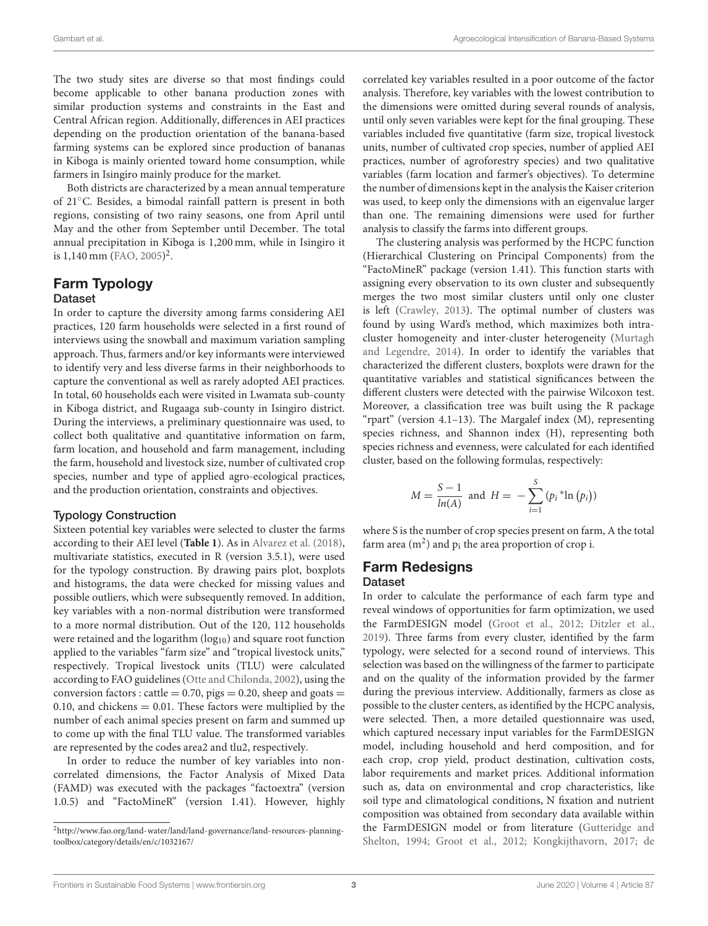The two study sites are diverse so that most findings could become applicable to other banana production zones with similar production systems and constraints in the East and Central African region. Additionally, differences in AEI practices depending on the production orientation of the banana-based farming systems can be explored since production of bananas in Kiboga is mainly oriented toward home consumption, while farmers in Isingiro mainly produce for the market.

Both districts are characterized by a mean annual temperature of 21◦C. Besides, a bimodal rainfall pattern is present in both regions, consisting of two rainy seasons, one from April until May and the other from September until December. The total annual precipitation in Kiboga is 1,200 mm, while in Isingiro it is 1,140 mm [\(FAO, 2005\)](#page-11-19) [2](#page-2-0) .

## Farm Typology Dataset

In order to capture the diversity among farms considering AEI practices, 120 farm households were selected in a first round of interviews using the snowball and maximum variation sampling approach. Thus, farmers and/or key informants were interviewed to identify very and less diverse farms in their neighborhoods to capture the conventional as well as rarely adopted AEI practices. In total, 60 households each were visited in Lwamata sub-county in Kiboga district, and Rugaaga sub-county in Isingiro district. During the interviews, a preliminary questionnaire was used, to collect both qualitative and quantitative information on farm, farm location, and household and farm management, including the farm, household and livestock size, number of cultivated crop species, number and type of applied agro-ecological practices, and the production orientation, constraints and objectives.

#### Typology Construction

Sixteen potential key variables were selected to cluster the farms according to their AEI level (**[Table 1](#page-3-0)**). As in [Alvarez et al. \(2018\)](#page-10-4), multivariate statistics, executed in R (version 3.5.1), were used for the typology construction. By drawing pairs plot, boxplots and histograms, the data were checked for missing values and possible outliers, which were subsequently removed. In addition, key variables with a non-normal distribution were transformed to a more normal distribution. Out of the 120, 112 households were retained and the logarithm  $(log_{10})$  and square root function applied to the variables "farm size" and "tropical livestock units," respectively. Tropical livestock units (TLU) were calculated according to FAO guidelines [\(Otte and Chilonda, 2002\)](#page-11-20), using the conversion factors : cattle =  $0.70$ , pigs =  $0.20$ , sheep and goats = 0.10, and chickens  $= 0.01$ . These factors were multiplied by the number of each animal species present on farm and summed up to come up with the final TLU value. The transformed variables are represented by the codes area2 and tlu2, respectively.

In order to reduce the number of key variables into noncorrelated dimensions, the Factor Analysis of Mixed Data (FAMD) was executed with the packages "factoextra" (version 1.0.5) and "FactoMineR" (version 1.41). However, highly correlated key variables resulted in a poor outcome of the factor analysis. Therefore, key variables with the lowest contribution to the dimensions were omitted during several rounds of analysis, until only seven variables were kept for the final grouping. These variables included five quantitative (farm size, tropical livestock units, number of cultivated crop species, number of applied AEI practices, number of agroforestry species) and two qualitative variables (farm location and farmer's objectives). To determine the number of dimensions kept in the analysis the Kaiser criterion was used, to keep only the dimensions with an eigenvalue larger than one. The remaining dimensions were used for further analysis to classify the farms into different groups.

The clustering analysis was performed by the HCPC function (Hierarchical Clustering on Principal Components) from the "FactoMineR" package (version 1.41). This function starts with assigning every observation to its own cluster and subsequently merges the two most similar clusters until only one cluster is left [\(Crawley, 2013\)](#page-10-5). The optimal number of clusters was found by using Ward's method, which maximizes both intracluster homogeneity and inter-cluster heterogeneity (Murtagh and Legendre, [2014\)](#page-11-21). In order to identify the variables that characterized the different clusters, boxplots were drawn for the quantitative variables and statistical significances between the different clusters were detected with the pairwise Wilcoxon test. Moreover, a classification tree was built using the R package "rpart" (version 4.1–13). The Margalef index (M), representing species richness, and Shannon index (H), representing both species richness and evenness, were calculated for each identified cluster, based on the following formulas, respectively:

$$
M = \frac{S-1}{\ln(A)} \text{ and } H = -\sum_{i=1}^{S} (p_i \cdot \ln(p_i))
$$

where S is the number of crop species present on farm, A the total farm area  $(m^2)$  and  $p_i$  the area proportion of crop i.

#### Farm Redesigns Dataset

In order to calculate the performance of each farm type and reveal windows of opportunities for farm optimization, we used the FarmDESIGN model [\(Groot et al., 2012;](#page-11-17) [Ditzler et al.,](#page-11-18) [2019\)](#page-11-18). Three farms from every cluster, identified by the farm typology, were selected for a second round of interviews. This selection was based on the willingness of the farmer to participate and on the quality of the information provided by the farmer during the previous interview. Additionally, farmers as close as possible to the cluster centers, as identified by the HCPC analysis, were selected. Then, a more detailed questionnaire was used, which captured necessary input variables for the FarmDESIGN model, including household and herd composition, and for each crop, crop yield, product destination, cultivation costs, labor requirements and market prices. Additional information such as, data on environmental and crop characteristics, like soil type and climatological conditions, N fixation and nutrient composition was obtained from secondary data available within the FarmDESIGN model or from literature (Gutteridge and Shelton, [1994;](#page-11-22) [Groot et al., 2012;](#page-11-17) [Kongkijthavorn, 2017;](#page-11-23) de

<span id="page-2-0"></span><sup>2</sup>[http://www.fao.org/land-water/land/land-governance/land-resources-planning](http://www.fao.org/land-water/land/land-governance/land-resources-planning-toolbox/category/details/en/c/1032167/)[toolbox/category/details/en/c/1032167/](http://www.fao.org/land-water/land/land-governance/land-resources-planning-toolbox/category/details/en/c/1032167/)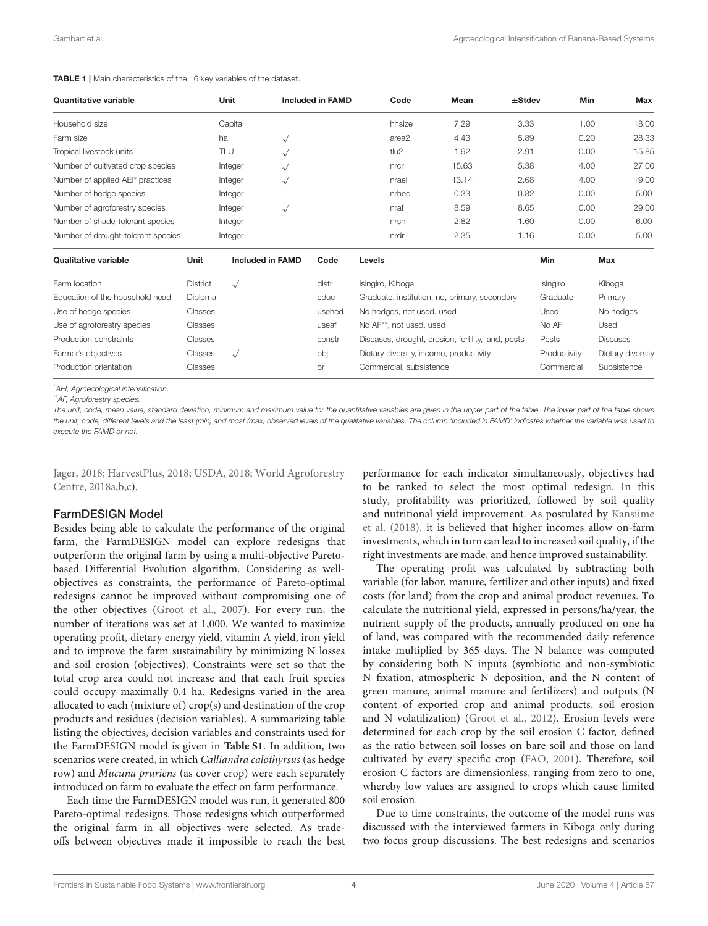<span id="page-3-0"></span>TABLE 1 | Main characteristics of the 16 key variables of the dataset.

| <b>Quantitative variable</b>       |          | Unit      |                         | <b>Included in FAMD</b> |        | Code                      | Mean                                               | $\pm$ Stdev |          | Min  | Max             |
|------------------------------------|----------|-----------|-------------------------|-------------------------|--------|---------------------------|----------------------------------------------------|-------------|----------|------|-----------------|
| Household size                     |          | Capita    |                         |                         |        | hhsize                    | 7.29                                               | 3.33        |          | 1.00 | 18.00           |
| Farm size                          |          | ha        | $\sqrt{}$               |                         |        | area2                     | 4.43                                               | 5.89        |          | 0.20 | 28.33           |
| Tropical livestock units           |          | TLU       | $\checkmark$            |                         |        | tlu2                      | 1.92                                               | 2.91        |          | 0.00 | 15.85           |
| Number of cultivated crop species  |          | Integer   | $\sqrt{}$               |                         |        | nrcr                      | 15.63                                              | 5.38        |          | 4.00 | 27.00           |
| Number of applied AEI* practices   |          | Integer   | $\checkmark$            |                         |        | nraei                     | 13.14                                              | 2.68        |          | 4.00 | 19.00           |
| Number of hedge species            |          | Integer   |                         |                         |        | nrhed                     | 0.33                                               | 0.82        |          | 0.00 | 5.00            |
| Number of agroforestry species     |          | Integer   | $\sqrt{}$               |                         |        | nraf                      | 8.59                                               | 8.65        |          | 0.00 | 29.00           |
| Number of shade-tolerant species   |          | Integer   |                         |                         |        | nrsh                      | 2.82                                               | 1.60        |          | 0.00 | 6.00            |
| Number of drought-tolerant species |          | Integer   |                         |                         |        | nrdr                      | 2.35                                               | 1.16        |          | 0.00 | 5.00            |
| <b>Qualitative variable</b>        | Unit     |           | <b>Included in FAMD</b> | Code                    | Levels |                           |                                                    |             | Min      |      | Max             |
| Farm location                      | District | $\sqrt{}$ |                         | distr                   |        | Isingiro, Kiboga          |                                                    |             | Isingiro |      | Kiboga          |
| Education of the household head    | Diploma  |           |                         | educ                    |        |                           | Graduate, institution, no, primary, secondary      |             | Graduate |      | Primary         |
| Use of hedge species               | Classes  |           |                         | usehed                  |        | No hedges, not used, used |                                                    |             | Used     |      | No hedges       |
| Use of agroforestry species        | Classes  |           |                         | useaf                   |        | No AF**, not used, used   |                                                    |             | No AF    |      | Used            |
| Production constraints             | Classes  |           |                         | constr                  |        |                           | Diseases, drought, erosion, fertility, land, pests |             | Pests    |      | <b>Diseases</b> |

\**AEI, Agroecological intensification.*

Farmer's objectives Classes √

\*\**AF, Agroforestry species.*

*The unit, code, mean value, standard deviation, minimum and maximum value for the quantitative variables are given in the upper part of the table. The lower part of the table shows the unit, code, different levels and the least (min) and most (max) observed levels of the qualitative variables. The column 'Included in FAMD' indicates whether the variable was used to execute the FAMD or not.*

Production orientation and Classes and Classes or Commercial, subsistence Commercial Subsistence

Jager, [2018;](#page-11-24) [HarvestPlus, 2018;](#page-11-25) [USDA, 2018;](#page-12-6) World Agroforestry Centre, [2018a,](#page-12-7)[b,](#page-12-8)[c\)](#page-12-9).

#### FarmDESIGN Model

Besides being able to calculate the performance of the original farm, the FarmDESIGN model can explore redesigns that outperform the original farm by using a multi-objective Paretobased Differential Evolution algorithm. Considering as wellobjectives as constraints, the performance of Pareto-optimal redesigns cannot be improved without compromising one of the other objectives [\(Groot et al., 2007\)](#page-11-26). For every run, the number of iterations was set at 1,000. We wanted to maximize operating profit, dietary energy yield, vitamin A yield, iron yield and to improve the farm sustainability by minimizing N losses and soil erosion (objectives). Constraints were set so that the total crop area could not increase and that each fruit species could occupy maximally 0.4 ha. Redesigns varied in the area allocated to each (mixture of) crop(s) and destination of the crop products and residues (decision variables). A summarizing table listing the objectives, decision variables and constraints used for the FarmDESIGN model is given in **[Table S1](#page-10-6)**. In addition, two scenarios were created, in which Calliandra calothyrsus (as hedge row) and Mucuna pruriens (as cover crop) were each separately introduced on farm to evaluate the effect on farm performance.

Each time the FarmDESIGN model was run, it generated 800 Pareto-optimal redesigns. Those redesigns which outperformed the original farm in all objectives were selected. As tradeoffs between objectives made it impossible to reach the best performance for each indicator simultaneously, objectives had to be ranked to select the most optimal redesign. In this study, profitability was prioritized, followed by soil quality and nutritional yield improvement. As postulated by Kansiime et al. [\(2018\)](#page-11-27), it is believed that higher incomes allow on-farm investments, which in turn can lead to increased soil quality, if the right investments are made, and hence improved sustainability.

obj Dietary diversity, income, productivity Productivity Dietary diversity

The operating profit was calculated by subtracting both variable (for labor, manure, fertilizer and other inputs) and fixed costs (for land) from the crop and animal product revenues. To calculate the nutritional yield, expressed in persons/ha/year, the nutrient supply of the products, annually produced on one ha of land, was compared with the recommended daily reference intake multiplied by 365 days. The N balance was computed by considering both N inputs (symbiotic and non-symbiotic N fixation, atmospheric N deposition, and the N content of green manure, animal manure and fertilizers) and outputs (N content of exported crop and animal products, soil erosion and N volatilization) [\(Groot et al., 2012\)](#page-11-17). Erosion levels were determined for each crop by the soil erosion C factor, defined as the ratio between soil losses on bare soil and those on land cultivated by every specific crop [\(FAO, 2001\)](#page-11-28). Therefore, soil erosion C factors are dimensionless, ranging from zero to one, whereby low values are assigned to crops which cause limited soil erosion.

Due to time constraints, the outcome of the model runs was discussed with the interviewed farmers in Kiboga only during two focus group discussions. The best redesigns and scenarios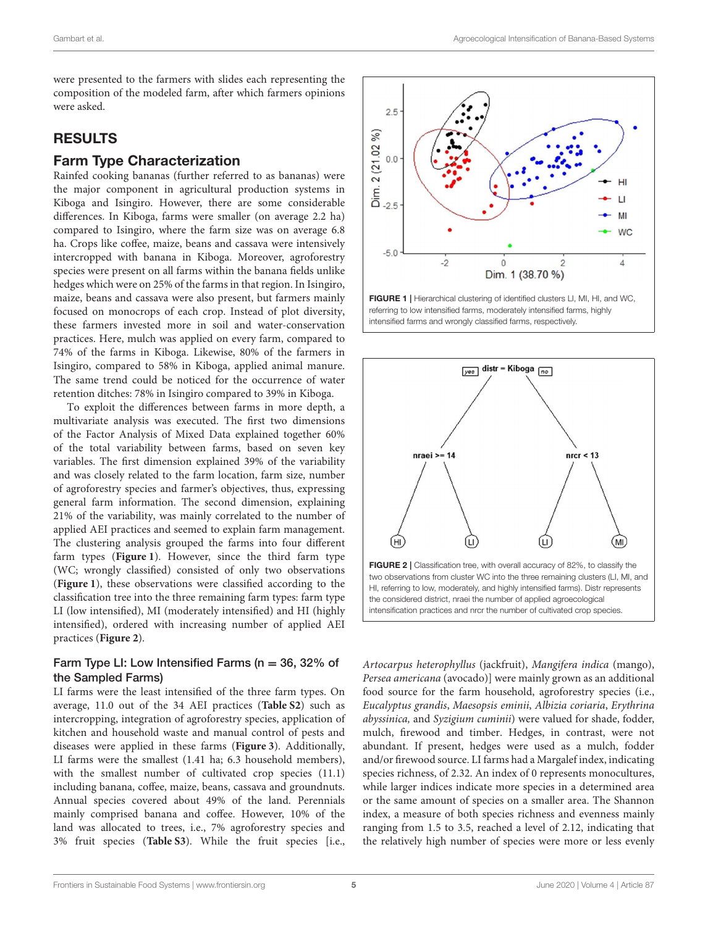were presented to the farmers with slides each representing the composition of the modeled farm, after which farmers opinions were asked.

# RESULTS

## Farm Type Characterization

Rainfed cooking bananas (further referred to as bananas) were the major component in agricultural production systems in Kiboga and Isingiro. However, there are some considerable differences. In Kiboga, farms were smaller (on average 2.2 ha) compared to Isingiro, where the farm size was on average 6.8 ha. Crops like coffee, maize, beans and cassava were intensively intercropped with banana in Kiboga. Moreover, agroforestry species were present on all farms within the banana fields unlike hedges which were on 25% of the farms in that region. In Isingiro, maize, beans and cassava were also present, but farmers mainly focused on monocrops of each crop. Instead of plot diversity, these farmers invested more in soil and water-conservation practices. Here, mulch was applied on every farm, compared to 74% of the farms in Kiboga. Likewise, 80% of the farmers in Isingiro, compared to 58% in Kiboga, applied animal manure. The same trend could be noticed for the occurrence of water retention ditches: 78% in Isingiro compared to 39% in Kiboga.

To exploit the differences between farms in more depth, a multivariate analysis was executed. The first two dimensions of the Factor Analysis of Mixed Data explained together 60% of the total variability between farms, based on seven key variables. The first dimension explained 39% of the variability and was closely related to the farm location, farm size, number of agroforestry species and farmer's objectives, thus, expressing general farm information. The second dimension, explaining 21% of the variability, was mainly correlated to the number of applied AEI practices and seemed to explain farm management. The clustering analysis grouped the farms into four different farm types (**[Figure 1](#page-4-0)**). However, since the third farm type (WC; wrongly classified) consisted of only two observations (**[Figure 1](#page-4-0)**), these observations were classified according to the classification tree into the three remaining farm types: farm type LI (low intensified), MI (moderately intensified) and HI (highly intensified), ordered with increasing number of applied AEI practices (**[Figure 2](#page-4-1)**).

#### Farm Type LI: Low Intensified Farms ( $n = 36$ , 32% of the Sampled Farms)

LI farms were the least intensified of the three farm types. On average, 11.0 out of the 34 AEI practices (**[Table S2](#page-10-6)**) such as intercropping, integration of agroforestry species, application of kitchen and household waste and manual control of pests and diseases were applied in these farms (**[Figure 3](#page-5-0)**). Additionally, LI farms were the smallest (1.41 ha; 6.3 household members), with the smallest number of cultivated crop species (11.1) including banana, coffee, maize, beans, cassava and groundnuts. Annual species covered about 49% of the land. Perennials mainly comprised banana and coffee. However, 10% of the land was allocated to trees, i.e., 7% agroforestry species and 3% fruit species (**[Table S3](#page-10-6)**). While the fruit species [i.e.,



<span id="page-4-0"></span>FIGURE 1 | Hierarchical clustering of identified clusters LI, MI, HI, and WC, referring to low intensified farms, moderately intensified farms, highly intensified farms and wrongly classified farms, respectively.



<span id="page-4-1"></span>Artocarpus heterophyllus (jackfruit), Mangifera indica (mango), Persea americana (avocado)] were mainly grown as an additional food source for the farm household, agroforestry species (i.e., Eucalyptus grandis, Maesopsis eminii, Albizia coriaria, Erythrina abyssinica, and Syzigium cuminii) were valued for shade, fodder, mulch, firewood and timber. Hedges, in contrast, were not abundant. If present, hedges were used as a mulch, fodder and/or firewood source. LI farms had a Margalef index, indicating species richness, of 2.32. An index of 0 represents monocultures, while larger indices indicate more species in a determined area or the same amount of species on a smaller area. The Shannon index, a measure of both species richness and evenness mainly ranging from 1.5 to 3.5, reached a level of 2.12, indicating that the relatively high number of species were more or less evenly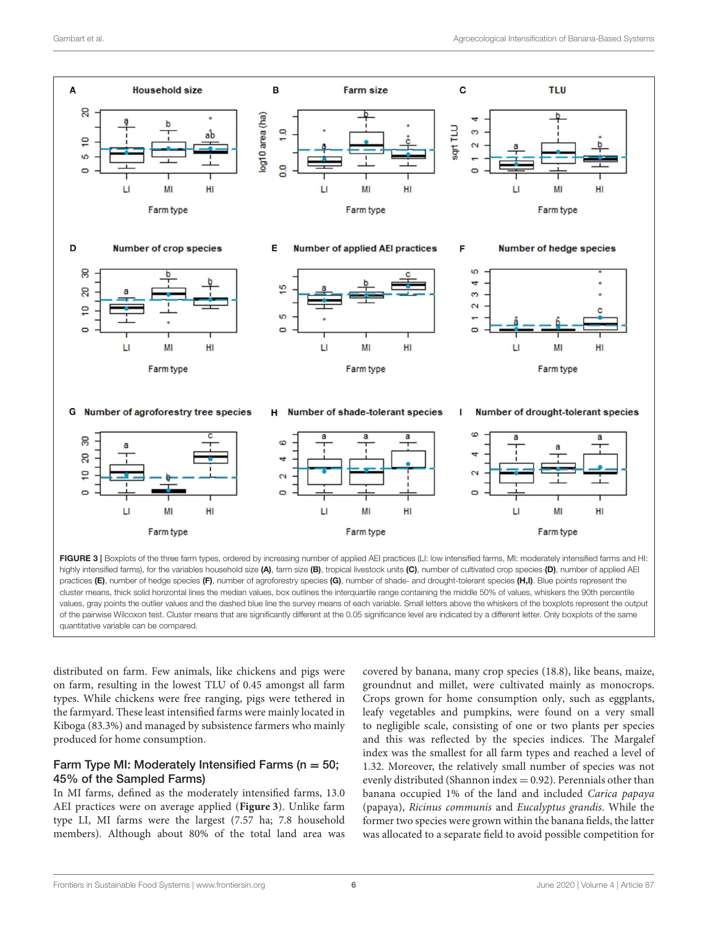

<span id="page-5-0"></span>FIGURE 3 | Boxplots of the three farm types, ordered by increasing number of applied AEI practices (LI: low intensified farms, MI: moderately intensified farms and HI: highly intensified farms), for the variables household size (A), farm size (B), tropical livestock units (C), number of cultivated crop species (D), number of applied AEI practices (E), number of hedge species (F), number of agroforestry species (G), number of shade- and drought-tolerant species (H,I). Blue points represent the cluster means, thick solid horizontal lines the median values, box outlines the interquartile range containing the middle 50% of values, whiskers the 90th percentile values, gray points the outlier values and the dashed blue line the survey means of each variable. Small letters above the whiskers of the boxplots represent the output of the pairwise Wilcoxon test. Cluster means that are significantly different at the 0.05 significance level are indicated by a different letter. Only boxplots of the same quantitative variable can be compared.

distributed on farm. Few animals, like chickens and pigs were on farm, resulting in the lowest TLU of 0.45 amongst all farm types. While chickens were free ranging, pigs were tethered in the farmyard. These least intensified farms were mainly located in Kiboga (83.3%) and managed by subsistence farmers who mainly produced for home consumption.

#### Farm Type MI: Moderately Intensified Farms ( $n = 50$ ; 45% of the Sampled Farms)

In MI farms, defined as the moderately intensified farms, 13.0 AEI practices were on average applied (**[Figure 3](#page-5-0)**). Unlike farm type LI, MI farms were the largest (7.57 ha; 7.8 household members). Although about 80% of the total land area was covered by banana, many crop species (18.8), like beans, maize, groundnut and millet, were cultivated mainly as monocrops. Crops grown for home consumption only, such as eggplants, leafy vegetables and pumpkins, were found on a very small to negligible scale, consisting of one or two plants per species and this was reflected by the species indices. The Margalef index was the smallest for all farm types and reached a level of 1.32. Moreover, the relatively small number of species was not evenly distributed (Shannon index  $= 0.92$ ). Perennials other than banana occupied 1% of the land and included Carica papaya (papaya), Ricinus communis and Eucalyptus grandis. While the former two species were grown within the banana fields, the latter was allocated to a separate field to avoid possible competition for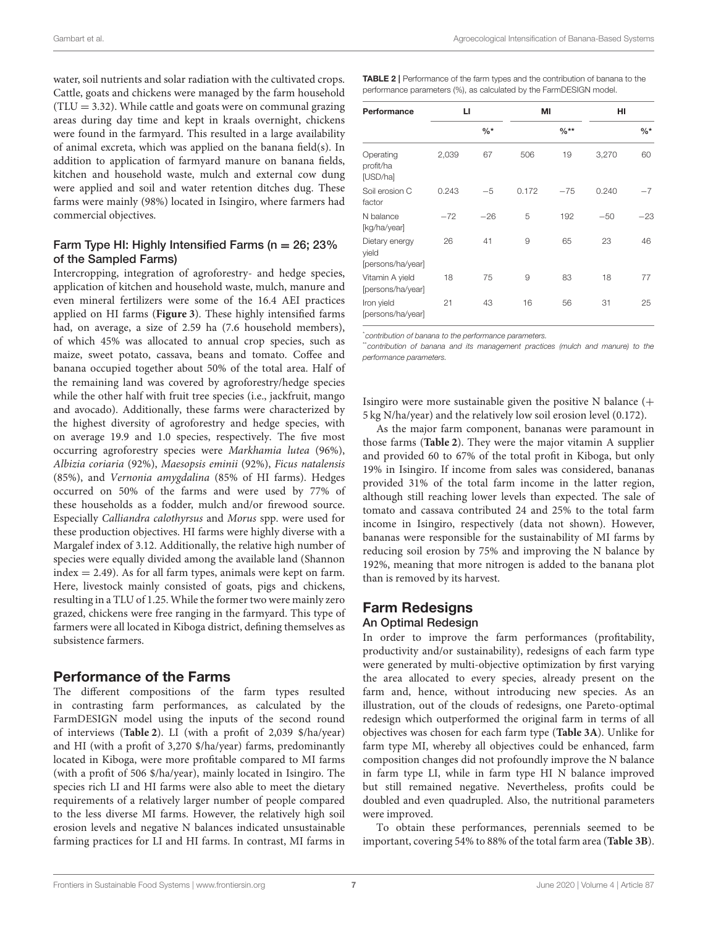water, soil nutrients and solar radiation with the cultivated crops. Cattle, goats and chickens were managed by the farm household  $(TLU = 3.32)$ . While cattle and goats were on communal grazing areas during day time and kept in kraals overnight, chickens were found in the farmyard. This resulted in a large availability of animal excreta, which was applied on the banana field(s). In addition to application of farmyard manure on banana fields, kitchen and household waste, mulch and external cow dung were applied and soil and water retention ditches dug. These farms were mainly (98%) located in Isingiro, where farmers had commercial objectives.

#### Farm Type HI: Highly Intensified Farms ( $n = 26$ ; 23% of the Sampled Farms)

Intercropping, integration of agroforestry- and hedge species, application of kitchen and household waste, mulch, manure and even mineral fertilizers were some of the 16.4 AEI practices applied on HI farms (**[Figure 3](#page-5-0)**). These highly intensified farms had, on average, a size of 2.59 ha (7.6 household members), of which 45% was allocated to annual crop species, such as maize, sweet potato, cassava, beans and tomato. Coffee and banana occupied together about 50% of the total area. Half of the remaining land was covered by agroforestry/hedge species while the other half with fruit tree species (i.e., jackfruit, mango and avocado). Additionally, these farms were characterized by the highest diversity of agroforestry and hedge species, with on average 19.9 and 1.0 species, respectively. The five most occurring agroforestry species were Markhamia lutea (96%), Albizia coriaria (92%), Maesopsis eminii (92%), Ficus natalensis (85%), and Vernonia amygdalina (85% of HI farms). Hedges occurred on 50% of the farms and were used by 77% of these households as a fodder, mulch and/or firewood source. Especially Calliandra calothyrsus and Morus spp. were used for these production objectives. HI farms were highly diverse with a Margalef index of 3.12. Additionally, the relative high number of species were equally divided among the available land (Shannon index = 2.49). As for all farm types, animals were kept on farm. Here, livestock mainly consisted of goats, pigs and chickens, resulting in a TLU of 1.25. While the former two were mainly zero grazed, chickens were free ranging in the farmyard. This type of farmers were all located in Kiboga district, defining themselves as subsistence farmers.

## Performance of the Farms

The different compositions of the farm types resulted in contrasting farm performances, as calculated by the FarmDESIGN model using the inputs of the second round of interviews (**[Table 2](#page-6-0)**). LI (with a profit of 2,039 \$/ha/year) and HI (with a profit of 3,270 \$/ha/year) farms, predominantly located in Kiboga, were more profitable compared to MI farms (with a profit of 506 \$/ha/year), mainly located in Isingiro. The species rich LI and HI farms were also able to meet the dietary requirements of a relatively larger number of people compared to the less diverse MI farms. However, the relatively high soil erosion levels and negative N balances indicated unsustainable farming practices for LI and HI farms. In contrast, MI farms in

<span id="page-6-0"></span>TABLE 2 | Performance of the farm types and the contribution of banana to the performance parameters (%), as calculated by the FarmDESIGN model.

| Performance                                  | п     |                 | MI    |                  | HI    |                 |
|----------------------------------------------|-------|-----------------|-------|------------------|-------|-----------------|
|                                              |       | $\frac{0}{6}$ * |       | $\frac{0}{6}$ ** |       | $\frac{9}{6}$ * |
| Operating<br>profit/ha<br>[USD/ha]           | 2,039 | 67              | 506   | 19               | 3,270 | 60              |
| Soil erosion C<br>factor                     | 0.243 | $-5$            | 0.172 | $-75$            | 0.240 | $-7$            |
| N balance<br>[kg/ha/year]                    | $-72$ | $-26$           | 5     | 192              | $-50$ | $-23$           |
| Dietary energy<br>yield<br>[persons/ha/year] | 26    | 41              | 9     | 65               | 23    | 46              |
| Vitamin A yield<br>[persons/ha/year]         | 18    | 75              | 9     | 83               | 18    | 77              |
| Iron yield<br>[persons/ha/year]              | 21    | 43              | 16    | 56               | 31    | 25              |

\**contribution of banana to the performance parameters.*

\*\**contribution of banana and its management practices (mulch and manure) to the performance parameters.*

Isingiro were more sustainable given the positive N balance (+ 5 kg N/ha/year) and the relatively low soil erosion level (0.172).

As the major farm component, bananas were paramount in those farms (**[Table 2](#page-6-0)**). They were the major vitamin A supplier and provided 60 to 67% of the total profit in Kiboga, but only 19% in Isingiro. If income from sales was considered, bananas provided 31% of the total farm income in the latter region, although still reaching lower levels than expected. The sale of tomato and cassava contributed 24 and 25% to the total farm income in Isingiro, respectively (data not shown). However, bananas were responsible for the sustainability of MI farms by reducing soil erosion by 75% and improving the N balance by 192%, meaning that more nitrogen is added to the banana plot than is removed by its harvest.

# Farm Redesigns

#### An Optimal Redesign

In order to improve the farm performances (profitability, productivity and/or sustainability), redesigns of each farm type were generated by multi-objective optimization by first varying the area allocated to every species, already present on the farm and, hence, without introducing new species. As an illustration, out of the clouds of redesigns, one Pareto-optimal redesign which outperformed the original farm in terms of all objectives was chosen for each farm type (**[Table 3A](#page-7-0)**). Unlike for farm type MI, whereby all objectives could be enhanced, farm composition changes did not profoundly improve the N balance in farm type LI, while in farm type HI N balance improved but still remained negative. Nevertheless, profits could be doubled and even quadrupled. Also, the nutritional parameters were improved.

To obtain these performances, perennials seemed to be important, covering 54% to 88% of the total farm area (**[Table 3B](#page-7-0)**).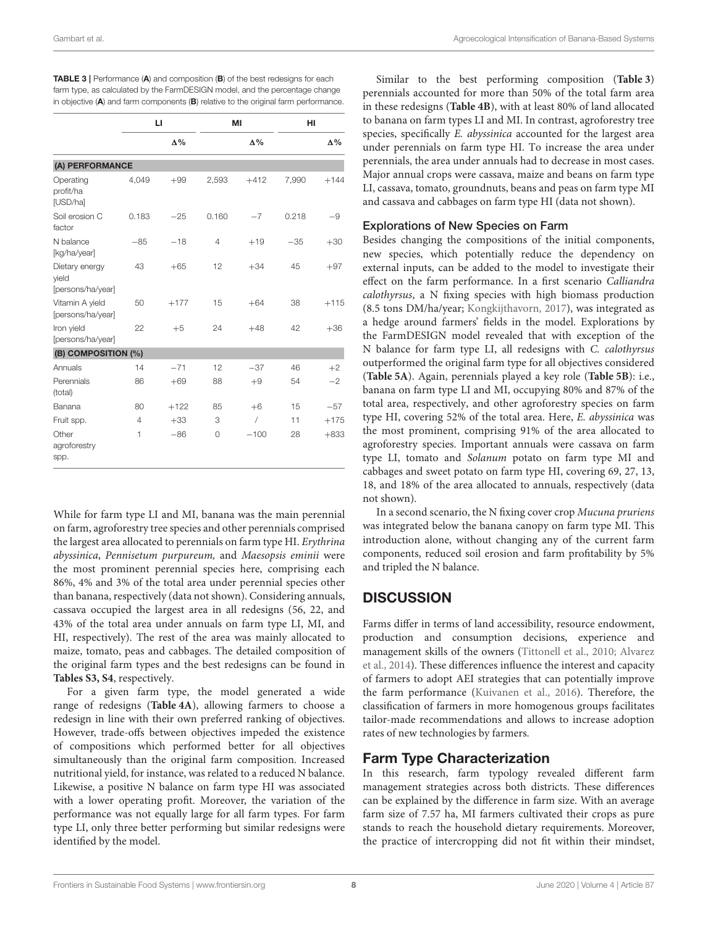|                                              | Ы              |            |       | MI         | HI    |            |
|----------------------------------------------|----------------|------------|-------|------------|-------|------------|
|                                              |                | $\Delta\%$ |       | $\Delta\%$ |       | $\Delta\%$ |
| (A) PERFORMANCE                              |                |            |       |            |       |            |
| Operating<br>profit/ha<br>[USD/ha]           | 4.049          | $+99$      | 2,593 | $+412$     | 7,990 | $+144$     |
| Soil erosion C<br>factor                     | 0.183          | $-25$      | 0.160 | $-7$       | 0.218 | $-9$       |
| N balance<br>[kg/ha/year]                    | $-85$          | $-18$      | 4     | $+19$      | $-35$ | $+30$      |
| Dietary energy<br>vield<br>[persons/ha/year] | 43             | $+65$      | 12    | $+34$      | 45    | $+97$      |
| Vitamin A yield<br>[persons/ha/year]         | 50             | $+177$     | 15    | $+64$      | 38    | $+115$     |
| Iron yield<br>[persons/ha/year]              | 22             | $+5$       | 24    | $+48$      | 42    | $+36$      |
| (B) COMPOSITION (%)                          |                |            |       |            |       |            |
| Annuals                                      | 14             | $-71$      | 12    | $-37$      | 46    | $+2$       |
| Perennials<br>(total)                        | 86             | $+69$      | 88    | $+9$       | 54    | $-2$       |
| Banana                                       | 80             | $+122$     | 85    | $+6$       | 15    | $-57$      |
| Fruit spp.                                   | $\overline{4}$ | $+33$      | 3     | $\sqrt{2}$ | 11    | $+175$     |
| Other<br>agroforestry<br>spp.                | 1              | $-86$      | 0     | $-100$     | 28    | $+833$     |

<span id="page-7-0"></span>TABLE 3 | Performance (A) and composition (B) of the best redesigns for each farm type, as calculated by the FarmDESIGN model, and the percentage change in objective (A) and farm components (B) relative to the original farm performance.

While for farm type LI and MI, banana was the main perennial on farm, agroforestry tree species and other perennials comprised the largest area allocated to perennials on farm type HI. Erythrina abyssinica, Pennisetum purpureum, and Maesopsis eminii were the most prominent perennial species here, comprising each 86%, 4% and 3% of the total area under perennial species other than banana, respectively (data not shown). Considering annuals, cassava occupied the largest area in all redesigns (56, 22, and 43% of the total area under annuals on farm type LI, MI, and HI, respectively). The rest of the area was mainly allocated to maize, tomato, peas and cabbages. The detailed composition of the original farm types and the best redesigns can be found in **[Tables S3, S4](#page-10-6)**, respectively.

For a given farm type, the model generated a wide range of redesigns (**[Table 4A](#page-8-0)**), allowing farmers to choose a redesign in line with their own preferred ranking of objectives. However, trade-offs between objectives impeded the existence of compositions which performed better for all objectives simultaneously than the original farm composition. Increased nutritional yield, for instance, was related to a reduced N balance. Likewise, a positive N balance on farm type HI was associated with a lower operating profit. Moreover, the variation of the performance was not equally large for all farm types. For farm type LI, only three better performing but similar redesigns were identified by the model.

Similar to the best performing composition (**[Table 3](#page-7-0)**) perennials accounted for more than 50% of the total farm area in these redesigns (**[Table 4B](#page-8-0)**), with at least 80% of land allocated to banana on farm types LI and MI. In contrast, agroforestry tree species, specifically E. abyssinica accounted for the largest area under perennials on farm type HI. To increase the area under perennials, the area under annuals had to decrease in most cases. Major annual crops were cassava, maize and beans on farm type LI, cassava, tomato, groundnuts, beans and peas on farm type MI and cassava and cabbages on farm type HI (data not shown).

#### Explorations of New Species on Farm

Besides changing the compositions of the initial components, new species, which potentially reduce the dependency on external inputs, can be added to the model to investigate their effect on the farm performance. In a first scenario Calliandra calothyrsus, a N fixing species with high biomass production (8.5 tons DM/ha/year; [Kongkijthavorn, 2017\)](#page-11-23), was integrated as a hedge around farmers' fields in the model. Explorations by the FarmDESIGN model revealed that with exception of the N balance for farm type LI, all redesigns with C. calothyrsus outperformed the original farm type for all objectives considered (**[Table 5A](#page-9-0)**). Again, perennials played a key role (**[Table 5B](#page-9-0)**): i.e., banana on farm type LI and MI, occupying 80% and 87% of the total area, respectively, and other agroforestry species on farm type HI, covering 52% of the total area. Here, E. abyssinica was the most prominent, comprising 91% of the area allocated to agroforestry species. Important annuals were cassava on farm type LI, tomato and Solanum potato on farm type MI and cabbages and sweet potato on farm type HI, covering 69, 27, 13, 18, and 18% of the area allocated to annuals, respectively (data not shown).

In a second scenario, the N fixing cover crop Mucuna pruriens was integrated below the banana canopy on farm type MI. This introduction alone, without changing any of the current farm components, reduced soil erosion and farm profitability by 5% and tripled the N balance.

# **DISCUSSION**

Farms differ in terms of land accessibility, resource endowment, production and consumption decisions, experience and management skills of the owners [\(Tittonell et al., 2010;](#page-12-10) Alvarez et al., [2014\)](#page-10-7). These differences influence the interest and capacity of farmers to adopt AEI strategies that can potentially improve the farm performance [\(Kuivanen et al., 2016\)](#page-11-29). Therefore, the classification of farmers in more homogenous groups facilitates tailor-made recommendations and allows to increase adoption rates of new technologies by farmers.

# Farm Type Characterization

In this research, farm typology revealed different farm management strategies across both districts. These differences can be explained by the difference in farm size. With an average farm size of 7.57 ha, MI farmers cultivated their crops as pure stands to reach the household dietary requirements. Moreover, the practice of intercropping did not fit within their mindset,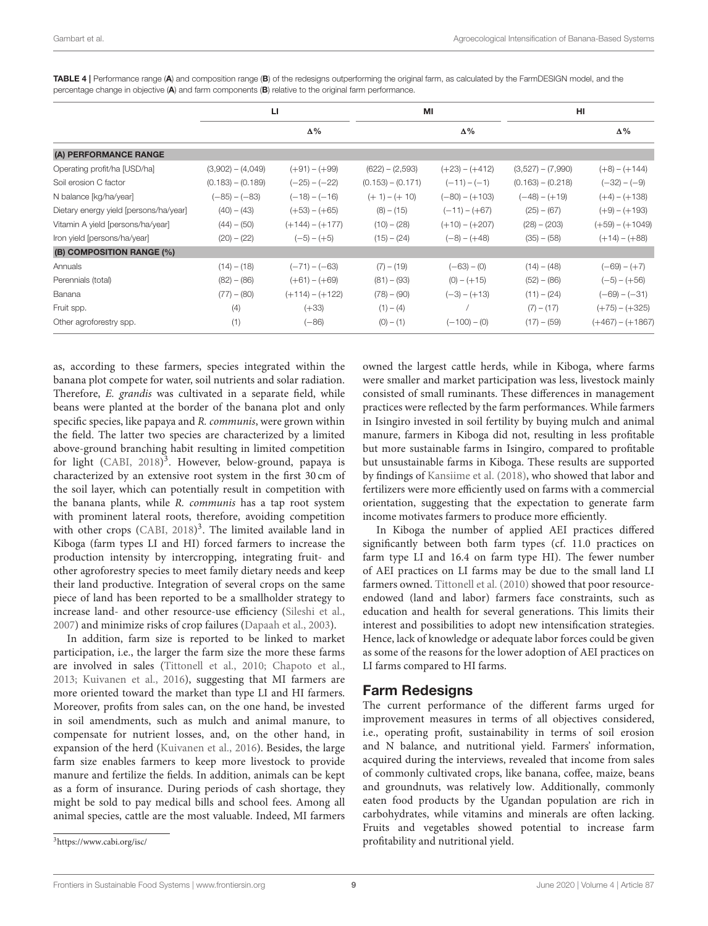|                                        | Ы                   |                   | MI                  |                  | HI                  |                    |
|----------------------------------------|---------------------|-------------------|---------------------|------------------|---------------------|--------------------|
|                                        |                     | $\Delta\%$        |                     | Δ%               |                     | $\Delta\%$         |
| (A) PERFORMANCE RANGE                  |                     |                   |                     |                  |                     |                    |
| Operating profit/ha [USD/ha]           | $(3,902) - (4,049)$ | $(+91) - (+99)$   | $(622) - (2,593)$   | $(+23) - (+412)$ | $(3,527) - (7,990)$ | $(+8) - (+144)$    |
| Soil erosion C factor                  | $(0.183) - (0.189)$ | $(-25) - (-22)$   | $(0.153) - (0.171)$ | $(-11) - (-1)$   | $(0.163) - (0.218)$ | $(-32) - (-9)$     |
| N balance [kg/ha/year]                 | $(-85) - (-83)$     | $(-18) - (-16)$   | $(+ 1) - (+ 10)$    | $(-80) - (+103)$ | $(-48) - (+19)$     | $(+4) - (+138)$    |
| Dietary energy yield [persons/ha/year] | $(40) - (43)$       | $(+53) - (+65)$   | $(8) - (15)$        | $(-11) - (+67)$  | $(25) - (67)$       | $(+9) - (+193)$    |
| Vitamin A yield [persons/ha/year]      | $(44) - (50)$       | $(+144) - (+177)$ | $(10) - (28)$       | $(+10) - (+207)$ | $(28) - (203)$      | $(+59) - (+1049)$  |
| Iron yield [persons/ha/year]           | $(20) - (22)$       | $(-5) - (+5)$     | $(15) - (24)$       | $(-8) - (+48)$   | $(35) - (58)$       | $(+14) - (+88)$    |
| (B) COMPOSITION RANGE (%)              |                     |                   |                     |                  |                     |                    |
| Annuals                                | $(14) - (18)$       | (-71) - (-63)     | $(7) - (19)$        | $(-63) - (0)$    | $(14) - (48)$       | $(-69) - (+7)$     |
| Perennials (total)                     | $(82) - (86)$       | $(+61) - (+69)$   | $(81) - (93)$       | $(0) - (+15)$    | $(52) - (86)$       | $(-5) - (+56)$     |
| Banana                                 | $(77) - (80)$       | $(+114) - (+122)$ | $(78) - (90)$       | $(-3) - (+13)$   | $(11) - (24)$       | $(-69) - (-31)$    |
| Fruit spp.                             | (4)                 | $(+33)$           | $(1) - (4)$         |                  | $(7) - (17)$        | $(+75) - (+325)$   |
| Other agroforestry spp.                | (1)                 | $(-86)$           | $(0) - (1)$         | $(-100) - (0)$   | $(17) - (59)$       | $(+467) - (+1867)$ |

<span id="page-8-0"></span>TABLE 4 | Performance range (A) and composition range (B) of the redesigns outperforming the original farm, as calculated by the FarmDESIGN model, and the percentage change in objective (A) and farm components (B) relative to the original farm performance.

as, according to these farmers, species integrated within the banana plot compete for water, soil nutrients and solar radiation. Therefore, E. grandis was cultivated in a separate field, while beans were planted at the border of the banana plot and only specific species, like papaya and R. communis, were grown within the field. The latter two species are characterized by a limited above-ground branching habit resulting in limited competition for light [\(CABI, 2018\)](#page-10-8)<sup>[3](#page-8-1)</sup>. However, below-ground, papaya is characterized by an extensive root system in the first 30 cm of the soil layer, which can potentially result in competition with the banana plants, while R. communis has a tap root system with prominent lateral roots, therefore, avoiding competition with other crops [\(CABI, 2018\)](#page-10-8)<sup>3</sup>. The limited available land in Kiboga (farm types LI and HI) forced farmers to increase the production intensity by intercropping, integrating fruit- and other agroforestry species to meet family dietary needs and keep their land productive. Integration of several crops on the same piece of land has been reported to be a smallholder strategy to increase land- and other resource-use efficiency [\(Sileshi et al.,](#page-11-30) [2007\)](#page-11-30) and minimize risks of crop failures [\(Dapaah et al., 2003\)](#page-10-9).

In addition, farm size is reported to be linked to market participation, i.e., the larger the farm size the more these farms are involved in sales [\(Tittonell et al., 2010;](#page-12-10) [Chapoto et al.,](#page-10-10) [2013;](#page-10-10) [Kuivanen et al., 2016\)](#page-11-29), suggesting that MI farmers are more oriented toward the market than type LI and HI farmers. Moreover, profits from sales can, on the one hand, be invested in soil amendments, such as mulch and animal manure, to compensate for nutrient losses, and, on the other hand, in expansion of the herd [\(Kuivanen et al., 2016\)](#page-11-29). Besides, the large farm size enables farmers to keep more livestock to provide manure and fertilize the fields. In addition, animals can be kept as a form of insurance. During periods of cash shortage, they might be sold to pay medical bills and school fees. Among all animal species, cattle are the most valuable. Indeed, MI farmers

<span id="page-8-1"></span><sup>3</sup><https://www.cabi.org/isc/>

owned the largest cattle herds, while in Kiboga, where farms were smaller and market participation was less, livestock mainly consisted of small ruminants. These differences in management practices were reflected by the farm performances. While farmers in Isingiro invested in soil fertility by buying mulch and animal manure, farmers in Kiboga did not, resulting in less profitable but more sustainable farms in Isingiro, compared to profitable but unsustainable farms in Kiboga. These results are supported by findings of [Kansiime et al. \(2018\)](#page-11-27), who showed that labor and fertilizers were more efficiently used on farms with a commercial orientation, suggesting that the expectation to generate farm income motivates farmers to produce more efficiently.

In Kiboga the number of applied AEI practices differed significantly between both farm types (cf. 11.0 practices on farm type LI and 16.4 on farm type HI). The fewer number of AEI practices on LI farms may be due to the small land LI farmers owned. [Tittonell et al. \(2010\)](#page-12-10) showed that poor resourceendowed (land and labor) farmers face constraints, such as education and health for several generations. This limits their interest and possibilities to adopt new intensification strategies. Hence, lack of knowledge or adequate labor forces could be given as some of the reasons for the lower adoption of AEI practices on LI farms compared to HI farms.

#### Farm Redesigns

The current performance of the different farms urged for improvement measures in terms of all objectives considered, i.e., operating profit, sustainability in terms of soil erosion and N balance, and nutritional yield. Farmers' information, acquired during the interviews, revealed that income from sales of commonly cultivated crops, like banana, coffee, maize, beans and groundnuts, was relatively low. Additionally, commonly eaten food products by the Ugandan population are rich in carbohydrates, while vitamins and minerals are often lacking. Fruits and vegetables showed potential to increase farm profitability and nutritional yield.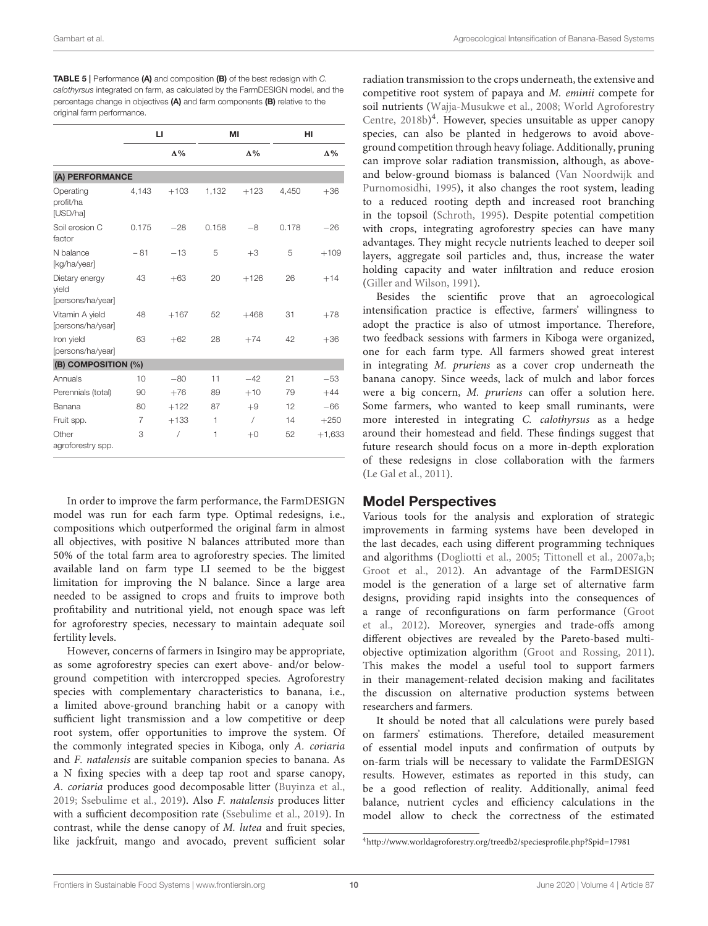Gambart et al. Agroecological Intensification of Banana-Based Systems

<span id="page-9-0"></span>

| <b>TABLE 5</b>   Performance (A) and composition (B) of the best redesign with C. |
|-----------------------------------------------------------------------------------|
| calothyrsus integrated on farm, as calculated by the FarmDESIGN model, and the    |
| percentage change in objectives $(A)$ and farm components $(B)$ relative to the   |
| original farm performance.                                                        |

|                                              | Ы     |            |       | MI         | HI    |            |
|----------------------------------------------|-------|------------|-------|------------|-------|------------|
|                                              |       | $\Delta\%$ |       | $\Delta\%$ |       | $\Delta\%$ |
| (A) PERFORMANCE                              |       |            |       |            |       |            |
| Operating<br>profit/ha<br>[USD/ha]           | 4,143 | $+103$     | 1,132 | $+123$     | 4,450 | $+36$      |
| Soil erosion C<br>factor                     | 0.175 | $-28$      | 0.158 | $-8$       | 0.178 | $-26$      |
| N balance<br>[kg/ha/year]                    | $-81$ | $-13$      | 5     | $+3$       | 5     | $+109$     |
| Dietary energy<br>vield<br>[persons/ha/year] | 43    | $+63$      | 20    | $+126$     | 26    | $+14$      |
| Vitamin A yield<br>[persons/ha/year]         | 48    | $+167$     | 52    | $+468$     | 31    | $+78$      |
| Iron yield<br>[persons/ha/year]              | 63    | $+62$      | 28    | $+74$      | 42    | $+36$      |
| (B) COMPOSITION (%)                          |       |            |       |            |       |            |
| Annuals                                      | 10    | $-80$      | 11    | $-42$      | 21    | $-53$      |
| Perennials (total)                           | 90    | $+76$      | 89    | $+10$      | 79    | $+44$      |
| Banana                                       | 80    | $+122$     | 87    | $+9$       | 12    | $-66$      |
| Fruit spp.                                   | 7     | $+133$     | 1     | $\sqrt{2}$ | 14    | $+250$     |
| Other<br>agroforestry spp.                   | 3     | $\prime$   | 1     | $+0$       | 52    | $+1,633$   |

In order to improve the farm performance, the FarmDESIGN model was run for each farm type. Optimal redesigns, i.e., compositions which outperformed the original farm in almost all objectives, with positive N balances attributed more than 50% of the total farm area to agroforestry species. The limited available land on farm type LI seemed to be the biggest limitation for improving the N balance. Since a large area needed to be assigned to crops and fruits to improve both profitability and nutritional yield, not enough space was left for agroforestry species, necessary to maintain adequate soil fertility levels.

However, concerns of farmers in Isingiro may be appropriate, as some agroforestry species can exert above- and/or belowground competition with intercropped species. Agroforestry species with complementary characteristics to banana, i.e., a limited above-ground branching habit or a canopy with sufficient light transmission and a low competitive or deep root system, offer opportunities to improve the system. Of the commonly integrated species in Kiboga, only A. coriaria and F. natalensis are suitable companion species to banana. As a N fixing species with a deep tap root and sparse canopy, A. coriaria produces good decomposable litter [\(Buyinza et al.,](#page-10-11) [2019;](#page-10-11) [Ssebulime et al., 2019\)](#page-11-31). Also F. natalensis produces litter with a sufficient decomposition rate [\(Ssebulime et al., 2019\)](#page-11-31). In contrast, while the dense canopy of M. lutea and fruit species, like jackfruit, mango and avocado, prevent sufficient solar

radiation transmission to the crops underneath, the extensive and competitive root system of papaya and M. eminii compete for soil nutrients [\(Wajja-Musukwe et al., 2008;](#page-12-11) World Agroforestry Centre, [2018b\)](#page-12-8) [4](#page-9-1) . However, species unsuitable as upper canopy species, can also be planted in hedgerows to avoid aboveground competition through heavy foliage. Additionally, pruning can improve solar radiation transmission, although, as aboveand below-ground biomass is balanced (Van Noordwijk and Purnomosidhi, [1995\)](#page-12-12), it also changes the root system, leading to a reduced rooting depth and increased root branching in the topsoil [\(Schroth, 1995\)](#page-11-32). Despite potential competition with crops, integrating agroforestry species can have many advantages. They might recycle nutrients leached to deeper soil layers, aggregate soil particles and, thus, increase the water holding capacity and water infiltration and reduce erosion [\(Giller and Wilson, 1991\)](#page-11-33).

Besides the scientific prove that an agroecological intensification practice is effective, farmers' willingness to adopt the practice is also of utmost importance. Therefore, two feedback sessions with farmers in Kiboga were organized, one for each farm type. All farmers showed great interest in integrating M. pruriens as a cover crop underneath the banana canopy. Since weeds, lack of mulch and labor forces were a big concern, M. pruriens can offer a solution here. Some farmers, who wanted to keep small ruminants, were more interested in integrating C. calothyrsus as a hedge around their homestead and field. These findings suggest that future research should focus on a more in-depth exploration of these redesigns in close collaboration with the farmers [\(Le Gal et al., 2011\)](#page-11-34).

## Model Perspectives

Various tools for the analysis and exploration of strategic improvements in farming systems have been developed in the last decades, each using different programming techniques and algorithms [\(Dogliotti et al., 2005;](#page-11-35) [Tittonell et al., 2007a](#page-12-13)[,b;](#page-12-14) [Groot et al., 2012\)](#page-11-17). An advantage of the FarmDESIGN model is the generation of a large set of alternative farm designs, providing rapid insights into the consequences of a range of reconfigurations on farm performance (Groot et al., [2012\)](#page-11-17). Moreover, synergies and trade-offs among different objectives are revealed by the Pareto-based multiobjective optimization algorithm [\(Groot and Rossing, 2011\)](#page-11-36). This makes the model a useful tool to support farmers in their management-related decision making and facilitates the discussion on alternative production systems between researchers and farmers.

It should be noted that all calculations were purely based on farmers' estimations. Therefore, detailed measurement of essential model inputs and confirmation of outputs by on-farm trials will be necessary to validate the FarmDESIGN results. However, estimates as reported in this study, can be a good reflection of reality. Additionally, animal feed balance, nutrient cycles and efficiency calculations in the model allow to check the correctness of the estimated

<span id="page-9-1"></span><sup>4</sup><http://www.worldagroforestry.org/treedb2/speciesprofile.php?Spid=17981>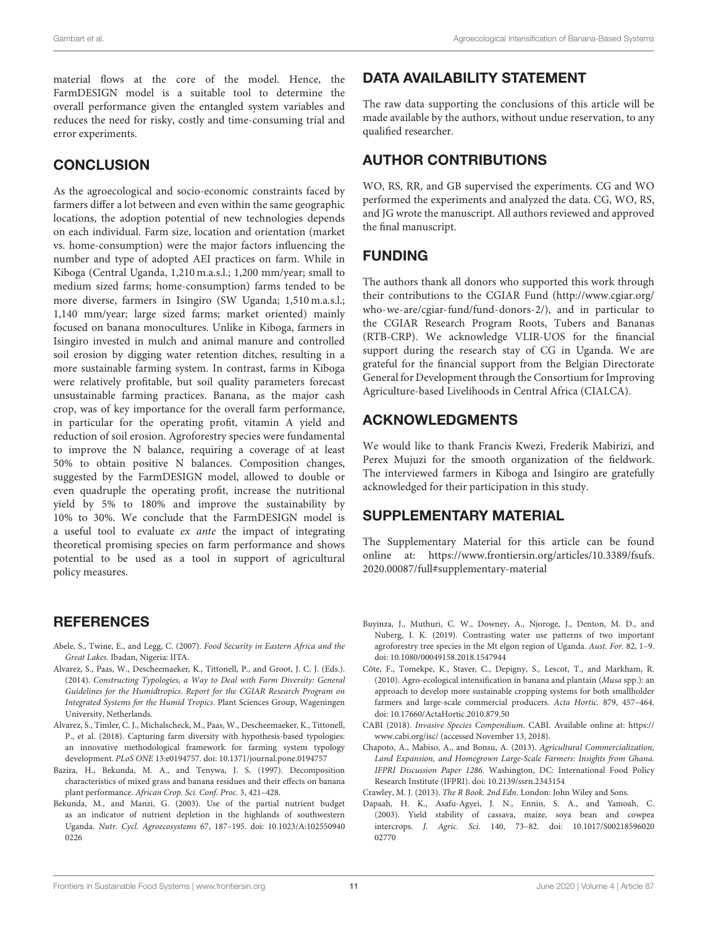material flows at the core of the model. Hence, the FarmDESIGN model is a suitable tool to determine the overall performance given the entangled system variables and reduces the need for risky, costly and time-consuming trial and error experiments.

# **CONCLUSION**

As the agroecological and socio-economic constraints faced by farmers differ a lot between and even within the same geographic locations, the adoption potential of new technologies depends on each individual. Farm size, location and orientation (market vs. home-consumption) were the major factors influencing the number and type of adopted AEI practices on farm. While in Kiboga (Central Uganda, 1,210 m.a.s.l.; 1,200 mm/year; small to medium sized farms; home-consumption) farms tended to be more diverse, farmers in Isingiro (SW Uganda; 1,510 m.a.s.l.; 1,140 mm/year; large sized farms; market oriented) mainly focused on banana monocultures. Unlike in Kiboga, farmers in Isingiro invested in mulch and animal manure and controlled soil erosion by digging water retention ditches, resulting in a more sustainable farming system. In contrast, farms in Kiboga were relatively profitable, but soil quality parameters forecast unsustainable farming practices. Banana, as the major cash crop, was of key importance for the overall farm performance, in particular for the operating profit, vitamin A yield and reduction of soil erosion. Agroforestry species were fundamental to improve the N balance, requiring a coverage of at least 50% to obtain positive N balances. Composition changes, suggested by the FarmDESIGN model, allowed to double or even quadruple the operating profit, increase the nutritional yield by 5% to 180% and improve the sustainability by 10% to 30%. We conclude that the FarmDESIGN model is a useful tool to evaluate ex ante the impact of integrating theoretical promising species on farm performance and shows potential to be used as a tool in support of agricultural policy measures.

# **REFERENCES**

- <span id="page-10-0"></span>Abele, S., Twine, E., and Legg, C. (2007). Food Security in Eastern Africa and the Great Lakes. Ibadan, Nigeria: IITA.
- <span id="page-10-7"></span>Alvarez, S., Paas, W., Descheemaeker, K., Tittonell, P., and Groot, J. C. J. (Eds.). (2014). Constructing Typologies, a Way to Deal with Farm Diversity: General Guidelines for the Humidtropics. Report for the CGIAR Research Program on Integrated Systems for the Humid Tropics. Plant Sciences Group, Wageningen University, Netherlands.
- <span id="page-10-4"></span>Alvarez, S., Timler, C. J., Michalscheck, M., Paas, W., Descheemaeker, K., Tittonell, P., et al. (2018). Capturing farm diversity with hypothesis-based typologies: an innovative methodological framework for farming system typology development. PLoS ONE 13:e0194757. doi: [10.1371/journal.pone.0194757](https://doi.org/10.1371/journal.pone.0194757)
- <span id="page-10-1"></span>Bazira, H., Bekunda, M. A., and Tenywa, J. S. (1997). Decomposition characteristics of mixed grass and banana residues and their effects on banana plant performance. African Crop. Sci. Conf. Proc. 3, 421–428.
- <span id="page-10-2"></span>Bekunda, M., and Manzi, G. (2003). Use of the partial nutrient budget as an indicator of nutrient depletion in the highlands of southwestern Uganda. Nutr. Cycl. Agroecosystems [67, 187–195. doi: 10.1023/A:102550940](https://doi.org/10.1023/A:1025509400226) 0226

# DATA AVAILABILITY STATEMENT

The raw data supporting the conclusions of this article will be made available by the authors, without undue reservation, to any qualified researcher.

# AUTHOR CONTRIBUTIONS

WO, RS, RR, and GB supervised the experiments. CG and WO performed the experiments and analyzed the data. CG, WO, RS, and JG wrote the manuscript. All authors reviewed and approved the final manuscript.

# FUNDING

The authors thank all donors who supported this work through their contributions to the CGIAR Fund [\(http://www.cgiar.org/](http://www.cgiar.org/who-we-are/cgiar-fund/fund-donors-2/) [who-we-are/cgiar-fund/fund-donors-2/\)](http://www.cgiar.org/who-we-are/cgiar-fund/fund-donors-2/), and in particular to the CGIAR Research Program Roots, Tubers and Bananas (RTB-CRP). We acknowledge VLIR-UOS for the financial support during the research stay of CG in Uganda. We are grateful for the financial support from the Belgian Directorate General for Development through the Consortium for Improving Agriculture-based Livelihoods in Central Africa (CIALCA).

# ACKNOWLEDGMENTS

We would like to thank Francis Kwezi, Frederik Mabirizi, and Perex Mujuzi for the smooth organization of the fieldwork. The interviewed farmers in Kiboga and Isingiro are gratefully acknowledged for their participation in this study.

# SUPPLEMENTARY MATERIAL

<span id="page-10-6"></span>The Supplementary Material for this article can be found [online at: https://www.frontiersin.org/articles/10.3389/fsufs.](https://www.frontiersin.org/articles/10.3389/fsufs.2020.00087/full#supplementary-material) 2020.00087/full#supplementary-material

- <span id="page-10-11"></span>Buyinza, J., Muthuri, C. W., Downey, A., Njoroge, J., Denton, M. D., and Nuberg, I. K. (2019). Contrasting water use patterns of two important agroforestry tree species in the Mt elgon region of Uganda. Aust. For. 82, 1–9. doi: [10.1080/00049158.2018.1547944](https://doi.org/10.1080/00049158.2018.1547944)
- <span id="page-10-3"></span>Côte, F., Tomekpe, K., Staver, C., Depigny, S., Lescot, T., and Markham, R. (2010). Agro-ecological intensification in banana and plantain (Musa spp.): an approach to develop more sustainable cropping systems for both smallholder farmers and large-scale commercial producers. Acta Hortic. 879, 457–464. doi: [10.17660/ActaHortic.2010.879.50](https://doi.org/10.17660/ActaHortic.2010.879.50)
- <span id="page-10-8"></span>CABI (2018). Invasive Species Compendium. CABI. Available online at: [https://](https://www.cabi.org/isc/) [www.cabi.org/isc/](https://www.cabi.org/isc/) (accessed November 13, 2018).
- <span id="page-10-10"></span>Chapoto, A., Mabiso, A., and Bonsu, A. (2013). Agricultural Commercialization, Land Expansion, and Homegrown Large-Scale Farmers: Insights from Ghana. IFPRI Discussion Paper 1286. Washington, DC: International Food Policy Research Institute (IFPRI). doi: [10.2139/ssrn.2343154](https://doi.org/10.2139/ssrn.2343154)
- <span id="page-10-5"></span>Crawley, M. J. (2013). The R Book. 2nd Edn. London: John Wiley and Sons.
- <span id="page-10-9"></span>Dapaah, H. K., Asafu-Agyei, J. N., Ennin, S. A., and Yamoah, C. (2003). Yield stability of cassava, maize, soya bean and cowpea intercrops. J. Agric. Sci. [140, 73–82. doi: 10.1017/S00218596020](https://doi.org/10.1017/S0021859602002770) 02770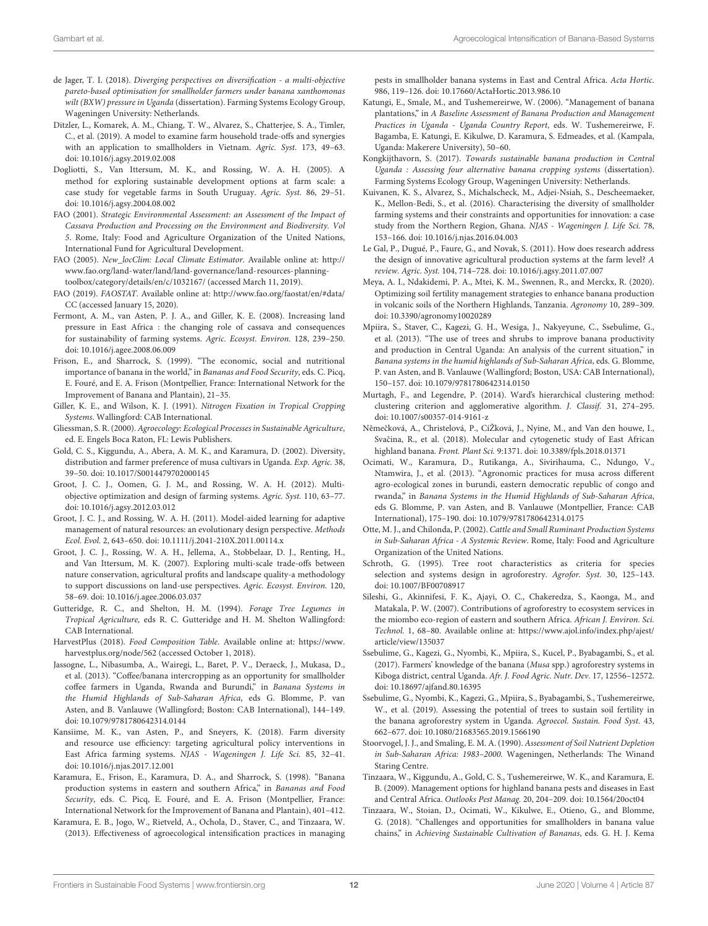- <span id="page-11-24"></span>de Jager, T. I. (2018). Diverging perspectives on diversification - a multi-objective pareto-based optimisation for smallholder farmers under banana xanthomonas wilt (BXW) pressure in Uganda (dissertation). Farming Systems Ecology Group, Wageningen University: Netherlands.
- <span id="page-11-18"></span>Ditzler, L., Komarek, A. M., Chiang, T. W., Alvarez, S., Chatterjee, S. A., Timler, C., et al. (2019). A model to examine farm household trade-offs and synergies with an application to smallholders in Vietnam. Agric. Syst. 173, 49–63. doi: [10.1016/j.agsy.2019.02.008](https://doi.org/10.1016/j.agsy.2019.02.008)
- <span id="page-11-35"></span>Dogliotti, S., Van Ittersum, M. K., and Rossing, W. A. H. (2005). A method for exploring sustainable development options at farm scale: a case study for vegetable farms in South Uruguay. Agric. Syst. 86, 29–51. doi: [10.1016/j.agsy.2004.08.002](https://doi.org/10.1016/j.agsy.2004.08.002)
- <span id="page-11-28"></span>FAO (2001). Strategic Environmental Assessment: an Assessment of the Impact of Cassava Production and Processing on the Environment and Biodiversity. Vol 5. Rome, Italy: Food and Agriculture Organization of the United Nations, International Fund for Agricultural Development.
- <span id="page-11-19"></span>FAO (2005). New\_locClim: Local Climate Estimator. Available online at: [http://](http://www.fao.org/land-water/land/land-governance/land-resources-planning-toolbox/category/details/en/c/1032167/) [www.fao.org/land-water/land/land-governance/land-resources-planning](http://www.fao.org/land-water/land/land-governance/land-resources-planning-toolbox/category/details/en/c/1032167/)[toolbox/category/details/en/c/1032167/](http://www.fao.org/land-water/land/land-governance/land-resources-planning-toolbox/category/details/en/c/1032167/) (accessed March 11, 2019).
- <span id="page-11-3"></span>FAO (2019). FAOSTAT. Available online at: [http://www.fao.org/faostat/en/#data/](http://www.fao.org/faostat/en/#data/CC) [CC](http://www.fao.org/faostat/en/#data/CC) (accessed January 15, 2020).
- <span id="page-11-4"></span>Fermont, A. M., van Asten, P. J. A., and Giller, K. E. (2008). Increasing land pressure in East Africa : the changing role of cassava and consequences for sustainability of farming systems. Agric. Ecosyst. Environ. 128, 239–250. doi: [10.1016/j.agee.2008.06.009](https://doi.org/10.1016/j.agee.2008.06.009)
- <span id="page-11-2"></span>Frison, E., and Sharrock, S. (1999). "The economic, social and nutritional importance of banana in the world," in Bananas and Food Security, eds. C. Picq, E. Fouré, and E. A. Frison (Montpellier, France: International Network for the Improvement of Banana and Plantain), 21–35.
- <span id="page-11-33"></span>Giller, K. E., and Wilson, K. J. (1991). Nitrogen Fixation in Tropical Cropping Systems. Wallingford: CAB International.
- <span id="page-11-9"></span>Gliessman, S. R. (2000). Agroecology: Ecological Processes in Sustainable Agriculture, ed. E. Engels Boca Raton, FL: Lewis Publishers.
- <span id="page-11-0"></span>Gold, C. S., Kiggundu, A., Abera, A. M. K., and Karamura, D. (2002). Diversity, distribution and farmer preference of musa cultivars in Uganda. Exp. Agric. 38, 39–50. doi: [10.1017/S0014479702000145](https://doi.org/10.1017/S0014479702000145)
- <span id="page-11-17"></span>Groot, J. C. J., Oomen, G. J. M., and Rossing, W. A. H. (2012). Multiobjective optimization and design of farming systems. Agric. Syst. 110, 63–77. doi: [10.1016/j.agsy.2012.03.012](https://doi.org/10.1016/j.agsy.2012.03.012)
- <span id="page-11-36"></span>Groot, J. C. J., and Rossing, W. A. H. (2011). Model-aided learning for adaptive management of natural resources: an evolutionary design perspective. Methods Ecol. Evol. 2, 643–650. doi: [10.1111/j.2041-210X.2011.00114.x](https://doi.org/10.1111/j.2041-210X.2011.00114.x)
- <span id="page-11-26"></span>Groot, J. C. J., Rossing, W. A. H., Jellema, A., Stobbelaar, D. J., Renting, H., and Van Ittersum, M. K. (2007). Exploring multi-scale trade-offs between nature conservation, agricultural profits and landscape quality-a methodology to support discussions on land-use perspectives. Agric. Ecosyst. Environ. 120, 58–69. doi: [10.1016/j.agee.2006.03.037](https://doi.org/10.1016/j.agee.2006.03.037)
- <span id="page-11-22"></span>Gutteridge, R. C., and Shelton, H. M. (1994). Forage Tree Legumes in Tropical Agriculture, eds R. C. Gutteridge and H. M. Shelton Wallingford: CAB International.
- <span id="page-11-25"></span>HarvestPlus (2018). Food Composition Table. Available online at: [https://www.](https://www.harvestplus.org/node/562) [harvestplus.org/node/562](https://www.harvestplus.org/node/562) (accessed October 1, 2018).
- <span id="page-11-12"></span>Jassogne, L., Nibasumba, A., Wairegi, L., Baret, P. V., Deraeck, J., Mukasa, D., et al. (2013). "Coffee/banana intercropping as an opportunity for smallholder coffee farmers in Uganda, Rwanda and Burundi," in Banana Systems in the Humid Highlands of Sub-Saharan Africa, eds G. Blomme, P. van Asten, and B. Vanlauwe (Wallingford; Boston: CAB International), 144–149. doi: [10.1079/9781780642314.0144](https://doi.org/10.1079/9781780642314.0144)
- <span id="page-11-27"></span>Kansiime, M. K., van Asten, P., and Sneyers, K. (2018). Farm diversity and resource use efficiency: targeting agricultural policy interventions in East Africa farming systems. NJAS - Wageningen J. Life Sci. 85, 32–41. doi: [10.1016/j.njas.2017.12.001](https://doi.org/10.1016/j.njas.2017.12.001)
- <span id="page-11-16"></span>Karamura, E., Frison, E., Karamura, D. A., and Sharrock, S. (1998). "Banana production systems in eastern and southern Africa," in Bananas and Food Security, eds. C. Picq, E. Fouré, and E. A. Frison (Montpellier, France: International Network for the Improvement of Banana and Plantain), 401–412.
- <span id="page-11-10"></span>Karamura, E. B., Jogo, W., Rietveld, A., Ochola, D., Staver, C., and Tinzaara, W. (2013). Effectiveness of agroecological intensification practices in managing

pests in smallholder banana systems in East and Central Africa. Acta Hortic. 986, 119–126. doi: [10.17660/ActaHortic.2013.986.10](https://doi.org/10.17660/ActaHortic.2013.986.10)

- <span id="page-11-11"></span>Katungi, E., Smale, M., and Tushemereirwe, W. (2006). "Management of banana plantations," in A Baseline Assessment of Banana Production and Management Practices in Uganda - Uganda Country Report, eds. W. Tushemereirwe, F. Bagamba, E. Katungi, E. Kikulwe, D. Karamura, S. Edmeades, et al. (Kampala, Uganda: Makerere University), 50–60.
- <span id="page-11-23"></span>Kongkijthavorn, S. (2017). Towards sustainable banana production in Central Uganda : Assessing four alternative banana cropping systems (dissertation). Farming Systems Ecology Group, Wageningen University: Netherlands.
- <span id="page-11-29"></span>Kuivanen, K. S., Alvarez, S., Michalscheck, M., Adjei-Nsiah, S., Descheemaeker, K., Mellon-Bedi, S., et al. (2016). Characterising the diversity of smallholder farming systems and their constraints and opportunities for innovation: a case study from the Northern Region, Ghana. NJAS - Wageningen J. Life Sci. 78, 153–166. doi: [10.1016/j.njas.2016.04.003](https://doi.org/10.1016/j.njas.2016.04.003)
- <span id="page-11-34"></span>Le Gal, P., Dugué, P., Faure, G., and Novak, S. (2011). How does research address the design of innovative agricultural production systems at the farm level? A review. Agric. Syst. 104, 714–728. doi: [10.1016/j.agsy.2011.07.007](https://doi.org/10.1016/j.agsy.2011.07.007)
- <span id="page-11-8"></span>Meya, A. I., Ndakidemi, P. A., Mtei, K. M., Swennen, R., and Merckx, R. (2020). Optimizing soil fertility management strategies to enhance banana production in volcanic soils of the Northern Highlands, Tanzania. Agronomy 10, 289–309. doi: [10.3390/agronomy10020289](https://doi.org/10.3390/agronomy10020289)
- <span id="page-11-13"></span>Mpiira, S., Staver, C., Kagezi, G. H., Wesiga, J., Nakyeyune, C., Ssebulime, G., et al. (2013). "The use of trees and shrubs to improve banana productivity and production in Central Uganda: An analysis of the current situation," in Banana systems in the humid highlands of Sub-Saharan Africa, eds. G. Blomme, P. van Asten, and B. Vanlauwe (Wallingford; Boston, USA: CAB International), 150–157. doi: [10.1079/9781780642314.0150](https://doi.org/10.1079/9781780642314.0150)
- <span id="page-11-21"></span>Murtagh, F., and Legendre, P. (2014). Ward's hierarchical clustering method: clustering criterion and agglomerative algorithm. J. Classif. 31, 274–295. doi: [10.1007/s00357-014-9161-z](https://doi.org/10.1007/s00357-014-9161-z)
- <span id="page-11-1"></span>Němečková, A., Christelová, P., CíŽková, J., Nyine, M., and Van den houwe, I., Svačina, R., et al. (2018). Molecular and cytogenetic study of East African highland banana. Front. Plant Sci. 9:1371. doi: [10.3389/fpls.2018.01371](https://doi.org/10.3389/fpls.2018.01371)
- <span id="page-11-14"></span>Ocimati, W., Karamura, D., Rutikanga, A., Sivirihauma, C., Ndungo, V., Ntamwira, J., et al. (2013). "Agronomic practices for musa across different agro-ecological zones in burundi, eastern democratic republic of congo and rwanda," in Banana Systems in the Humid Highlands of Sub-Saharan Africa, eds G. Blomme, P. van Asten, and B. Vanlauwe (Montpellier, France: CAB International), 175–190. doi: [10.1079/9781780642314.0175](https://doi.org/10.1079/9781780642314.0175)
- <span id="page-11-20"></span>Otte, M. J., and Chilonda, P. (2002). Cattle and Small Ruminant Production Systems in Sub-Saharan Africa - A Systemic Review. Rome, Italy: Food and Agriculture Organization of the United Nations.
- <span id="page-11-32"></span>Schroth, G. (1995). Tree root characteristics as criteria for species selection and systems design in agroforestry. Agrofor. Syst. 30, 125–143. doi: [10.1007/BF00708917](https://doi.org/10.1007/BF00708917)
- <span id="page-11-30"></span>Sileshi, G., Akinnifesi, F. K., Ajayi, O. C., Chakeredza, S., Kaonga, M., and Matakala, P. W. (2007). Contributions of agroforestry to ecosystem services in the miombo eco-region of eastern and southern Africa. African J. Environ. Sci. Technol. 1, 68–80. Available online at: [https://www.ajol.info/index.php/ajest/](https://www.ajol.info/index.php/ajest/article/view/135037) [article/view/135037](https://www.ajol.info/index.php/ajest/article/view/135037)
- <span id="page-11-15"></span>Ssebulime, G., Kagezi, G., Nyombi, K., Mpiira, S., Kucel, P., Byabagambi, S., et al. (2017). Farmers' knowledge of the banana (Musa spp.) agroforestry systems in Kiboga district, central Uganda. Afr. J. Food Agric. Nutr. Dev. 17, 12556–12572. doi: [10.18697/ajfand.80.16395](https://doi.org/10.18697/ajfand.80.16395)
- <span id="page-11-31"></span>Ssebulime, G., Nyombi, K., Kagezi, G., Mpiira, S., Byabagambi, S., Tushemereirwe, W., et al. (2019). Assessing the potential of trees to sustain soil fertility in the banana agroforestry system in Uganda. Agroecol. Sustain. Food Syst. 43, 662–677. doi: [10.1080/21683565.2019.1566190](https://doi.org/10.1080/21683565.2019.1566190)
- <span id="page-11-5"></span>Stoorvogel, J. J., and Smaling, E. M. A. (1990). Assessment of Soil Nutrient Depletion in Sub-Saharan Africa: 1983–2000. Wageningen, Netherlands: The Winand Staring Centre.
- <span id="page-11-6"></span>Tinzaara, W., Kiggundu, A., Gold, C. S., Tushemereirwe, W. K., and Karamura, E. B. (2009). Management options for highland banana pests and diseases in East and Central Africa. Outlooks Pest Manag. 20, 204–209. doi: [10.1564/20oct04](https://doi.org/10.1564/20oct04)
- <span id="page-11-7"></span>Tinzaara, W., Stoian, D., Ocimati, W., Kikulwe, E., Otieno, G., and Blomme, G. (2018). "Challenges and opportunities for smallholders in banana value chains," in Achieving Sustainable Cultivation of Bananas, eds. G. H. J. Kema